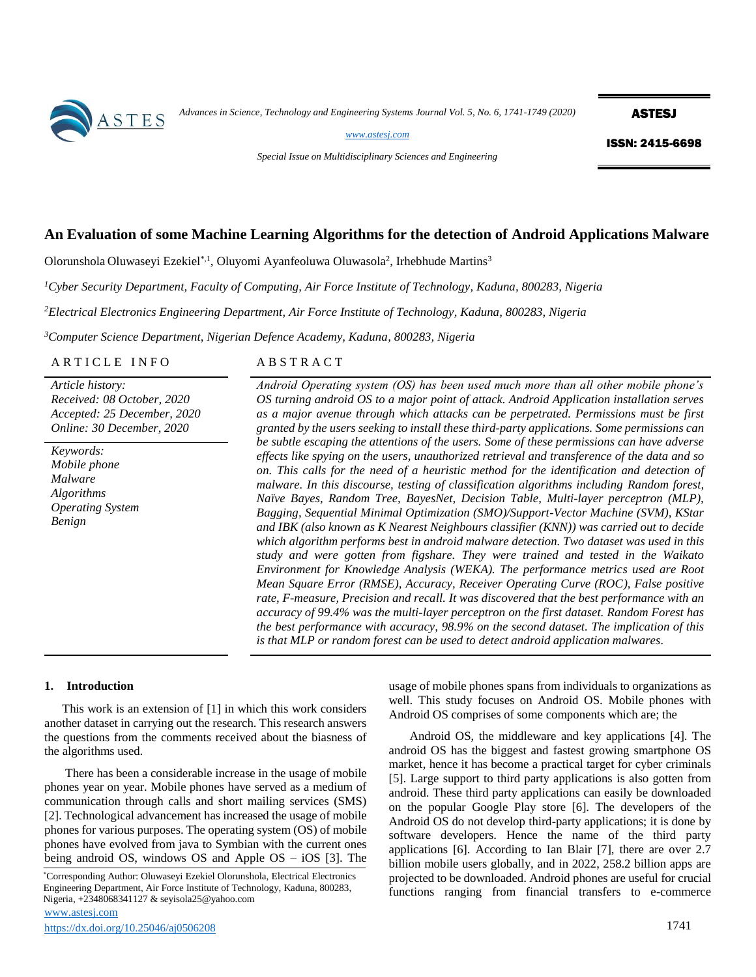

*Advances in Science, Technology and Engineering Systems Journal Vol. 5, No. 6, 1741-1749 (2020)*

**ASTESJ** 

*[www.astesj.com](http://www.astesj.com/)*

*Special Issue on Multidisciplinary Sciences and Engineering*

ISSN: 2415-6698

# **An Evaluation of some Machine Learning Algorithms for the detection of Android Applications Malware**

Olorunshola Oluwaseyi Ezekiel<sup>\*,1</sup>, Oluyomi Ayanfeoluwa Oluwasola<sup>2</sup>, Irhebhude Martins<sup>3</sup>

*<sup>1</sup>Cyber Security Department, Faculty of Computing, Air Force Institute of Technology, Kaduna, 800283, Nigeria*

*<sup>2</sup>Electrical Electronics Engineering Department, Air Force Institute of Technology, Kaduna, 800283, Nigeria*

*<sup>3</sup>Computer Science Department, Nigerian Defence Academy, Kaduna, 800283, Nigeria*

ARTICLE INFO<br>
ABSTRACT

*Article history: Received: 08 October, 2020 Accepted: 25 December, 2020 Online: 30 December, 2020*

*Keywords: Mobile phone Malware Algorithms Operating System Benign*

*Android Operating system (OS) has been used much more than all other mobile phone's OS turning android OS to a major point of attack. Android Application installation serves as a major avenue through which attacks can be perpetrated. Permissions must be first granted by the users seeking to install these third-party applications. Some permissions can be subtle escaping the attentions of the users. Some of these permissions can have adverse effects like spying on the users, unauthorized retrieval and transference of the data and so on. This calls for the need of a heuristic method for the identification and detection of malware. In this discourse, testing of classification algorithms including Random forest, Naïve Bayes, Random Tree, BayesNet, Decision Table, Multi-layer perceptron (MLP), Bagging, Sequential Minimal Optimization (SMO)/Support-Vector Machine (SVM), KStar and IBK (also known as K Nearest Neighbours classifier (KNN)) was carried out to decide which algorithm performs best in android malware detection. Two dataset was used in this study and were gotten from figshare. They were trained and tested in the Waikato Environment for Knowledge Analysis (WEKA). The performance metrics used are Root Mean Square Error (RMSE), Accuracy, Receiver Operating Curve (ROC), False positive rate, F-measure, Precision and recall. It was discovered that the best performance with an accuracy of 99.4% was the multi-layer perceptron on the first dataset. Random Forest has the best performance with accuracy, 98.9% on the second dataset. The implication of this is that MLP or random forest can be used to detect android application malwares.*

#### **1. Introduction**

This work is an extension of [1] in which this work considers another dataset in carrying out the research. This research answers the questions from the comments received about the biasness of the algorithms used.

There has been a considerable increase in the usage of mobile phones year on year. Mobile phones have served as a medium of communication through calls and short mailing services (SMS) [2]. Technological advancement has increased the usage of mobile phones for various purposes. The operating system (OS) of mobile phones have evolved from java to Symbian with the current ones being android OS, windows OS and Apple OS – iOS [3]. The

[www.astesj.com](http://www.astesj.com/)  \*Corresponding Author: Oluwaseyi Ezekiel Olorunshola, Electrical Electronics Engineering Department, Air Force Institute of Technology, Kaduna, 800283, Nigeria, +2348068341127 & seyisola25@yahoo.com

usage of mobile phones spans from individuals to organizations as well. This study focuses on Android OS. Mobile phones with Android OS comprises of some components which are; the

Android OS, the middleware and key applications [4]. The android OS has the biggest and fastest growing smartphone OS market, hence it has become a practical target for cyber criminals [5]. Large support to third party applications is also gotten from android. These third party applications can easily be downloaded on the popular Google Play store [6]. The developers of the Android OS do not develop third-party applications; it is done by software developers. Hence the name of the third party applications [6]. According to Ian Blair [7], there are over 2.7 billion mobile users globally, and in 2022, 258.2 billion apps are projected to be downloaded. Android phones are useful for crucial functions ranging from financial transfers to e-commerce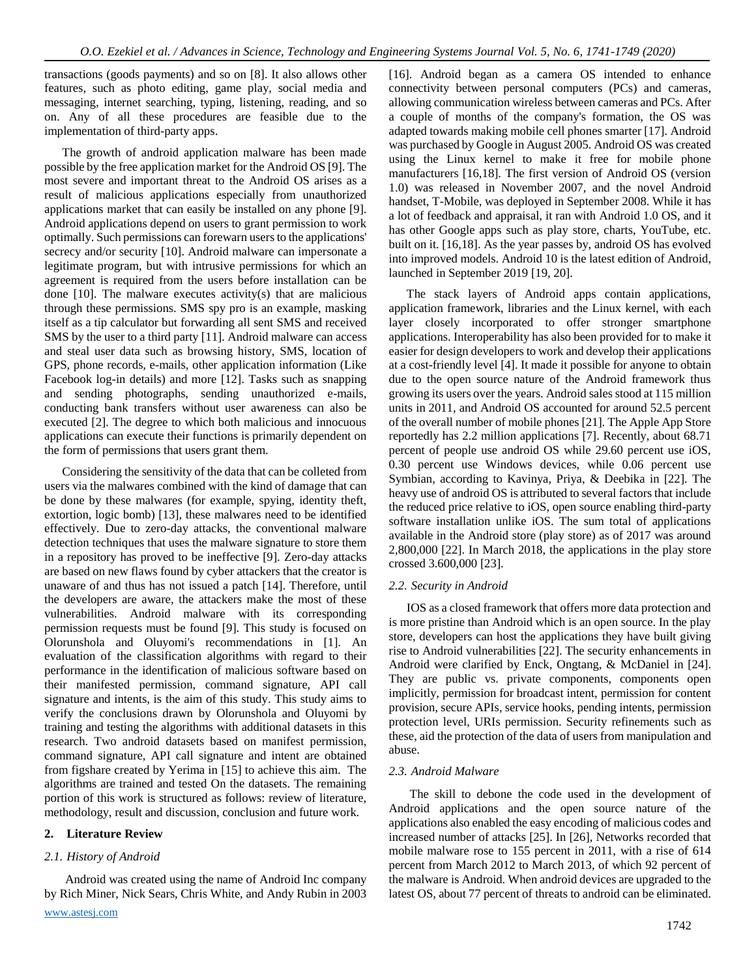transactions (goods payments) and so on [8]. It also allows other features, such as photo editing, game play, social media and messaging, internet searching, typing, listening, reading, and so on. Any of all these procedures are feasible due to the implementation of third-party apps.

The growth of android application malware has been made possible by the free application market for the Android OS [9]. The most severe and important threat to the Android OS arises as a result of malicious applications especially from unauthorized applications market that can easily be installed on any phone [9]. Android applications depend on users to grant permission to work optimally. Such permissions can forewarn users to the applications' secrecy and/or security [10]. Android malware can impersonate a legitimate program, but with intrusive permissions for which an agreement is required from the users before installation can be done  $[10]$ . The malware executes activity(s) that are malicious through these permissions. SMS spy pro is an example, masking itself as a tip calculator but forwarding all sent SMS and received SMS by the user to a third party [11]. Android malware can access and steal user data such as browsing history, SMS, location of GPS, phone records, e-mails, other application information (Like Facebook log-in details) and more [12]. Tasks such as snapping and sending photographs, sending unauthorized e-mails, conducting bank transfers without user awareness can also be executed [2]. The degree to which both malicious and innocuous applications can execute their functions is primarily dependent on the form of permissions that users grant them.

Considering the sensitivity of the data that can be colleted from users via the malwares combined with the kind of damage that can be done by these malwares (for example, spying, identity theft, extortion, logic bomb) [13], these malwares need to be identified effectively. Due to zero-day attacks, the conventional malware detection techniques that uses the malware signature to store them in a repository has proved to be ineffective [9]. Zero-day attacks are based on new flaws found by cyber attackers that the creator is unaware of and thus has not issued a patch [14]. Therefore, until the developers are aware, the attackers make the most of these vulnerabilities. Android malware with its corresponding permission requests must be found [9]. This study is focused on Olorunshola and Oluyomi's recommendations in [1]. An evaluation of the classification algorithms with regard to their performance in the identification of malicious software based on their manifested permission, command signature, API call signature and intents, is the aim of this study. This study aims to verify the conclusions drawn by Olorunshola and Oluyomi by training and testing the algorithms with additional datasets in this research. Two android datasets based on manifest permission, command signature, API call signature and intent are obtained from figshare created by Yerima in [15] to achieve this aim. The algorithms are trained and tested On the datasets. The remaining portion of this work is structured as follows: review of literature, methodology, result and discussion, conclusion and future work.

## **2. Literature Review**

# *2.1. History of Android*

Android was created using the name of Android Inc company by Rich Miner, Nick Sears, Chris White, and Andy Rubin in 2003 [16]. Android began as a camera OS intended to enhance connectivity between personal computers (PCs) and cameras, allowing communication wireless between cameras and PCs. After a couple of months of the company's formation, the OS was adapted towards making mobile cell phones smarter [17]. Android was purchased by Google in August 2005. Android OS was created using the Linux kernel to make it free for mobile phone manufacturers [16,18]. The first version of Android OS (version 1.0) was released in November 2007, and the novel Android handset, T-Mobile, was deployed in September 2008. While it has a lot of feedback and appraisal, it ran with Android 1.0 OS, and it has other Google apps such as play store, charts, YouTube, etc. built on it. [16,18]. As the year passes by, android OS has evolved into improved models. Android 10 is the latest edition of Android, launched in September 2019 [19, 20].

The stack layers of Android apps contain applications, application framework, libraries and the Linux kernel, with each layer closely incorporated to offer stronger smartphone applications. Interoperability has also been provided for to make it easier for design developers to work and develop their applications at a cost-friendly level [4]. It made it possible for anyone to obtain due to the open source nature of the Android framework thus growing its users over the years. Android sales stood at 115 million units in 2011, and Android OS accounted for around 52.5 percent of the overall number of mobile phones [21]. The Apple App Store reportedly has 2.2 million applications [7]. Recently, about 68.71 percent of people use android OS while 29.60 percent use iOS, 0.30 percent use Windows devices, while 0.06 percent use Symbian, according to Kavinya, Priya, & Deebika in [22]. The heavy use of android OS is attributed to several factors that include the reduced price relative to iOS, open source enabling third-party software installation unlike iOS. The sum total of applications available in the Android store (play store) as of 2017 was around 2,800,000 [22]. In March 2018, the applications in the play store crossed 3.600,000 [23].

## *2.2. Security in Android*

IOS as a closed framework that offers more data protection and is more pristine than Android which is an open source. In the play store, developers can host the applications they have built giving rise to Android vulnerabilities [22]. The security enhancements in Android were clarified by Enck, Ongtang, & McDaniel in [24]. They are public vs. private components, components open implicitly, permission for broadcast intent, permission for content provision, secure APIs, service hooks, pending intents, permission protection level, URIs permission. Security refinements such as these, aid the protection of the data of users from manipulation and abuse.

## *2.3. Android Malware*

The skill to debone the code used in the development of Android applications and the open source nature of the applications also enabled the easy encoding of malicious codes and increased number of attacks [25]. In [26], Networks recorded that mobile malware rose to 155 percent in 2011, with a rise of 614 percent from March 2012 to March 2013, of which 92 percent of the malware is Android. When android devices are upgraded to the latest OS, about 77 percent of threats to android can be eliminated.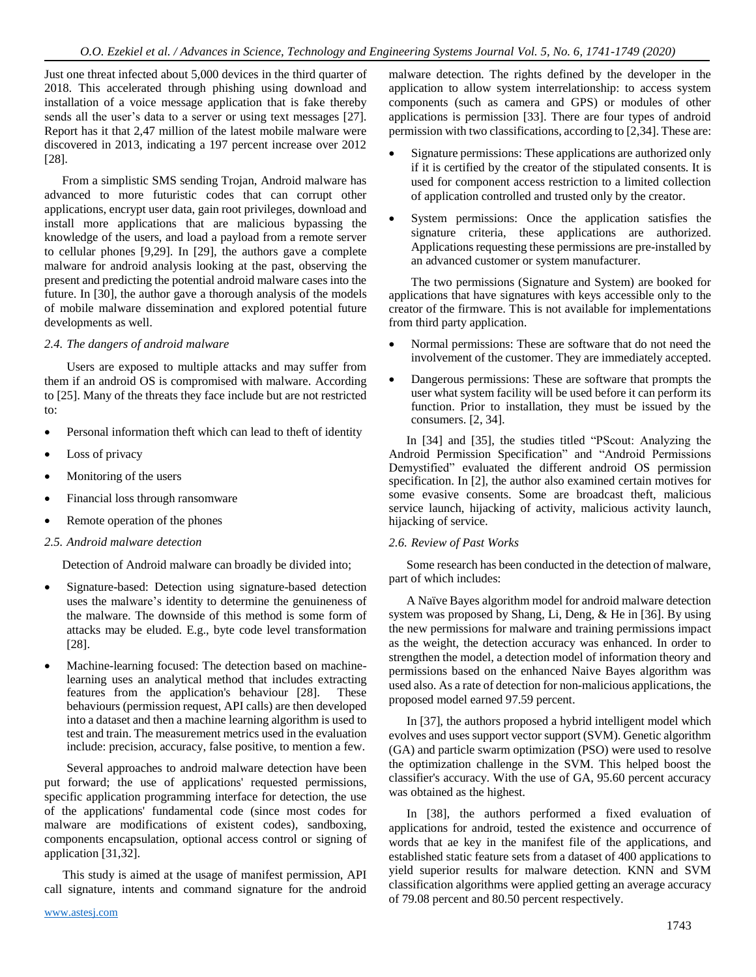Just one threat infected about 5,000 devices in the third quarter of 2018. This accelerated through phishing using download and installation of a voice message application that is fake thereby sends all the user's data to a server or using text messages [27]. Report has it that 2,47 million of the latest mobile malware were discovered in 2013, indicating a 197 percent increase over 2012 [28].

From a simplistic SMS sending Trojan, Android malware has advanced to more futuristic codes that can corrupt other applications, encrypt user data, gain root privileges, download and install more applications that are malicious bypassing the knowledge of the users, and load a payload from a remote server to cellular phones [9,29]. In [29], the authors gave a complete malware for android analysis looking at the past, observing the present and predicting the potential android malware cases into the future. In [30], the author gave a thorough analysis of the models of mobile malware dissemination and explored potential future developments as well.

## *2.4. The dangers of android malware*

Users are exposed to multiple attacks and may suffer from them if an android OS is compromised with malware. According to [25]. Many of the threats they face include but are not restricted to:

- Personal information theft which can lead to theft of identity
- Loss of privacy
- Monitoring of the users
- Financial loss through ransomware
- Remote operation of the phones
- *2.5. Android malware detection*

Detection of Android malware can broadly be divided into;

- Signature-based: Detection using signature-based detection uses the malware's identity to determine the genuineness of the malware. The downside of this method is some form of attacks may be eluded. E.g., byte code level transformation [28].
- Machine-learning focused: The detection based on machinelearning uses an analytical method that includes extracting features from the application's behaviour [28]. These behaviours (permission request, API calls) are then developed into a dataset and then a machine learning algorithm is used to test and train. The measurement metrics used in the evaluation include: precision, accuracy, false positive, to mention a few.

Several approaches to android malware detection have been put forward; the use of applications' requested permissions, specific application programming interface for detection, the use of the applications' fundamental code (since most codes for malware are modifications of existent codes), sandboxing, components encapsulation, optional access control or signing of application [31,32].

 This study is aimed at the usage of manifest permission, API call signature, intents and command signature for the android malware detection. The rights defined by the developer in the application to allow system interrelationship: to access system components (such as camera and GPS) or modules of other applications is permission [33]. There are four types of android permission with two classifications, according to [2,34]. These are:

- Signature permissions: These applications are authorized only if it is certified by the creator of the stipulated consents. It is used for component access restriction to a limited collection of application controlled and trusted only by the creator.
- System permissions: Once the application satisfies the signature criteria, these applications are authorized. Applications requesting these permissions are pre-installed by an advanced customer or system manufacturer.

The two permissions (Signature and System) are booked for applications that have signatures with keys accessible only to the creator of the firmware. This is not available for implementations from third party application.

- Normal permissions: These are software that do not need the involvement of the customer. They are immediately accepted.
- Dangerous permissions: These are software that prompts the user what system facility will be used before it can perform its function. Prior to installation, they must be issued by the consumers. [2, 34].

 In [34] and [35], the studies titled "PScout: Analyzing the Android Permission Specification" and "Android Permissions Demystified" evaluated the different android OS permission specification. In [2], the author also examined certain motives for some evasive consents. Some are broadcast theft, malicious service launch, hijacking of activity, malicious activity launch, hijacking of service.

# *2.6. Review of Past Works*

Some research has been conducted in the detection of malware, part of which includes:

A Naïve Bayes algorithm model for android malware detection system was proposed by Shang, Li, Deng, & He in [36]. By using the new permissions for malware and training permissions impact as the weight, the detection accuracy was enhanced. In order to strengthen the model, a detection model of information theory and permissions based on the enhanced Naive Bayes algorithm was used also. As a rate of detection for non-malicious applications, the proposed model earned 97.59 percent.

In [37], the authors proposed a hybrid intelligent model which evolves and uses support vector support (SVM). Genetic algorithm (GA) and particle swarm optimization (PSO) were used to resolve the optimization challenge in the SVM. This helped boost the classifier's accuracy. With the use of GA, 95.60 percent accuracy was obtained as the highest.

In [38], the authors performed a fixed evaluation of applications for android, tested the existence and occurrence of words that ae key in the manifest file of the applications, and established static feature sets from a dataset of 400 applications to yield superior results for malware detection. KNN and SVM classification algorithms were applied getting an average accuracy of 79.08 percent and 80.50 percent respectively.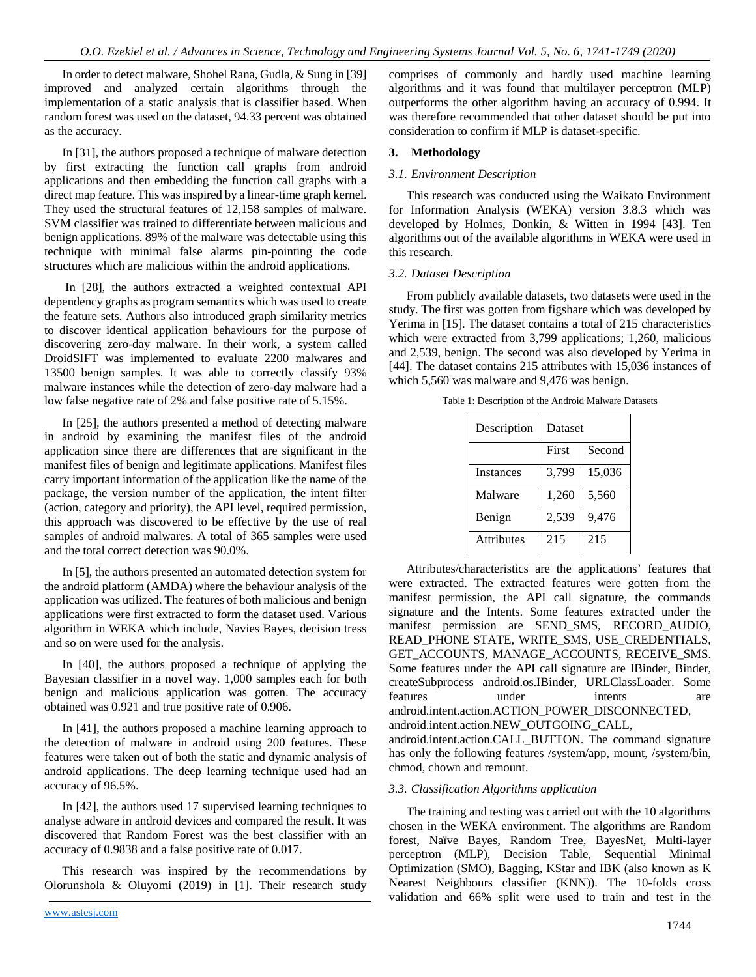In order to detect malware, Shohel Rana, Gudla, & Sung in [39] improved and analyzed certain algorithms through the implementation of a static analysis that is classifier based. When random forest was used on the dataset, 94.33 percent was obtained as the accuracy.

In [31], the authors proposed a technique of malware detection by first extracting the function call graphs from android applications and then embedding the function call graphs with a direct map feature. This was inspired by a linear-time graph kernel. They used the structural features of 12,158 samples of malware. SVM classifier was trained to differentiate between malicious and benign applications. 89% of the malware was detectable using this technique with minimal false alarms pin-pointing the code structures which are malicious within the android applications.

In [28], the authors extracted a weighted contextual API dependency graphs as program semantics which was used to create the feature sets. Authors also introduced graph similarity metrics to discover identical application behaviours for the purpose of discovering zero-day malware. In their work, a system called DroidSIFT was implemented to evaluate 2200 malwares and 13500 benign samples. It was able to correctly classify 93% malware instances while the detection of zero-day malware had a low false negative rate of 2% and false positive rate of 5.15%.

In [25], the authors presented a method of detecting malware in android by examining the manifest files of the android application since there are differences that are significant in the manifest files of benign and legitimate applications. Manifest files carry important information of the application like the name of the package, the version number of the application, the intent filter (action, category and priority), the API level, required permission, this approach was discovered to be effective by the use of real samples of android malwares. A total of 365 samples were used and the total correct detection was 90.0%.

In [5], the authors presented an automated detection system for the android platform (AMDA) where the behaviour analysis of the application was utilized. The features of both malicious and benign applications were first extracted to form the dataset used. Various algorithm in WEKA which include, Navies Bayes, decision tress and so on were used for the analysis.

In [40], the authors proposed a technique of applying the Bayesian classifier in a novel way. 1,000 samples each for both benign and malicious application was gotten. The accuracy obtained was 0.921 and true positive rate of 0.906.

In [41], the authors proposed a machine learning approach to the detection of malware in android using 200 features. These features were taken out of both the static and dynamic analysis of android applications. The deep learning technique used had an accuracy of 96.5%.

In [42], the authors used 17 supervised learning techniques to analyse adware in android devices and compared the result. It was discovered that Random Forest was the best classifier with an accuracy of 0.9838 and a false positive rate of 0.017.

This research was inspired by the recommendations by Olorunshola & Oluyomi (2019) in [1]. Their research study comprises of commonly and hardly used machine learning algorithms and it was found that multilayer perceptron (MLP) outperforms the other algorithm having an accuracy of 0.994. It was therefore recommended that other dataset should be put into consideration to confirm if MLP is dataset-specific.

# **3. Methodology**

## *3.1. Environment Description*

This research was conducted using the Waikato Environment for Information Analysis (WEKA) version 3.8.3 which was developed by Holmes, Donkin, & Witten in 1994 [43]. Ten algorithms out of the available algorithms in WEKA were used in this research.

## *3.2. Dataset Description*

From publicly available datasets, two datasets were used in the study. The first was gotten from figshare which was developed by Yerima in [15]. The dataset contains a total of 215 characteristics which were extracted from 3,799 applications; 1,260, malicious and 2,539, benign. The second was also developed by Yerima in [44]. The dataset contains 215 attributes with 15,036 instances of which 5,560 was malware and 9,476 was benign.

Table 1: Description of the Android Malware Datasets

| Description      | Dataset |        |
|------------------|---------|--------|
|                  | First   | Second |
| <b>Instances</b> | 3,799   | 15,036 |
| Malware          | 1,260   | 5,560  |
| Benign           | 2,539   | 9,476  |
| Attributes       | 215     | 215    |

Attributes/characteristics are the applications' features that were extracted. The extracted features were gotten from the manifest permission, the API call signature, the commands signature and the Intents. Some features extracted under the manifest permission are SEND\_SMS, RECORD\_AUDIO, READ\_PHONE STATE, WRITE\_SMS, USE\_CREDENTIALS, GET ACCOUNTS, MANAGE ACCOUNTS, RECEIVE SMS. Some features under the API call signature are IBinder, Binder, createSubprocess android.os.IBinder, URLClassLoader. Some features under intents are android.intent.action.ACTION\_POWER\_DISCONNECTED, android.intent.action.NEW\_OUTGOING\_CALL,

android.intent.action.CALL\_BUTTON. The command signature has only the following features /system/app, mount, /system/bin, chmod, chown and remount.

## *3.3. Classification Algorithms application*

The training and testing was carried out with the 10 algorithms chosen in the WEKA environment. The algorithms are Random forest, Naïve Bayes, Random Tree, BayesNet, Multi-layer perceptron (MLP), Decision Table, Sequential Minimal Optimization (SMO), Bagging, KStar and IBK (also known as K Nearest Neighbours classifier (KNN)). The 10-folds cross validation and 66% split were used to train and test in the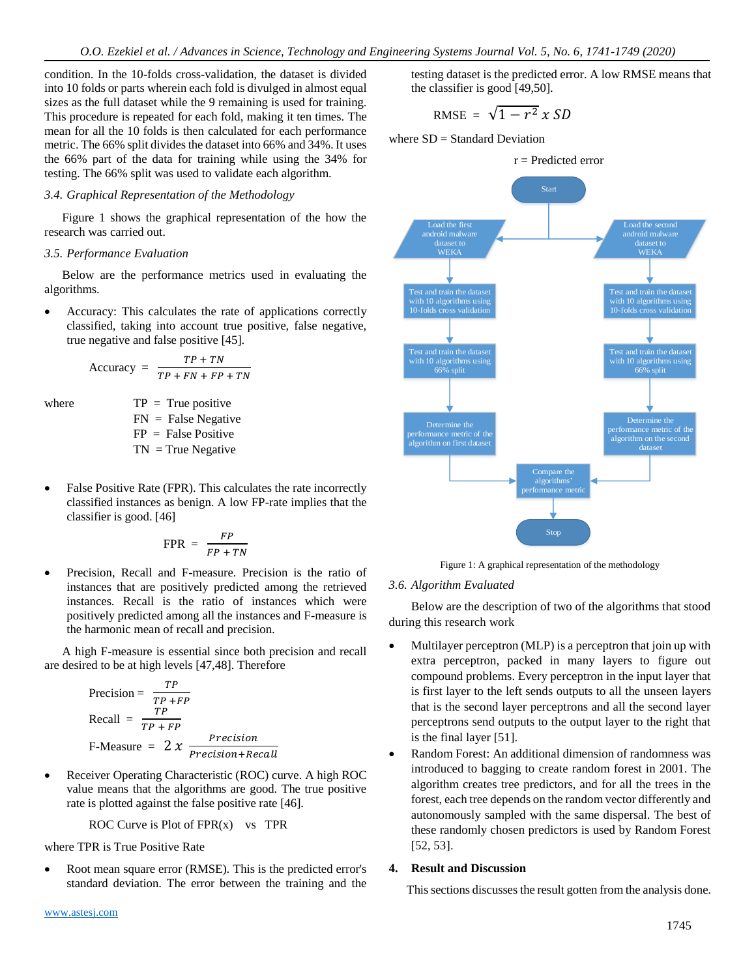condition. In the 10-folds cross-validation, the dataset is divided into 10 folds or parts wherein each fold is divulged in almost equal sizes as the full dataset while the 9 remaining is used for training. This procedure is repeated for each fold, making it ten times. The mean for all the 10 folds is then calculated for each performance metric. The 66% split divides the dataset into 66% and 34%. It uses the 66% part of the data for training while using the 34% for testing. The 66% split was used to validate each algorithm.

#### *3.4. Graphical Representation of the Methodology*

Figure 1 shows the graphical representation of the how the research was carried out.

#### *3.5. Performance Evaluation*

Below are the performance metrics used in evaluating the algorithms.

• Accuracy: This calculates the rate of applications correctly classified, taking into account true positive, false negative, true negative and false positive [45].

$$
Accuracy = \frac{TP + TN}{TP + FN + FP + TN}
$$

where  $TP = True positive$  $FN$  = False Negative  $FP = False Positive$  $TN = True Negative$ 

• False Positive Rate (FPR). This calculates the rate incorrectly classified instances as benign. A low FP-rate implies that the classifier is good. [46]

$$
FPR = \frac{FP}{FP + TN}
$$

• Precision, Recall and F-measure. Precision is the ratio of instances that are positively predicted among the retrieved instances. Recall is the ratio of instances which were positively predicted among all the instances and F-measure is the harmonic mean of recall and precision.

A high F-measure is essential since both precision and recall are desired to be at high levels [47,48]. Therefore

$$
Precision = \frac{TP}{TP + FP}
$$
  
Recall = 
$$
\frac{TP}{TP + FP}
$$
  
F-Measure = 
$$
2 x \frac{Precision}{Precision + Recall}
$$

• Receiver Operating Characteristic (ROC) curve. A high ROC value means that the algorithms are good. The true positive rate is plotted against the false positive rate [46].

ROC Curve is Plot of  $FPR(x)$  vs TPR

where TPR is True Positive Rate

• Root mean square error (RMSE). This is the predicted error's standard deviation. The error between the training and the testing dataset is the predicted error. A low RMSE means that the classifier is good [49,50].

$$
RMSE = \sqrt{1-r^2} \times SD
$$

where  $SD = Standard Deviation$ 



Figure 1: A graphical representation of the methodology

## *3.6. Algorithm Evaluated*

Below are the description of two of the algorithms that stood during this research work

- Multilayer perceptron (MLP) is a perceptron that join up with extra perceptron, packed in many layers to figure out compound problems. Every perceptron in the input layer that is first layer to the left sends outputs to all the unseen layers that is the second layer perceptrons and all the second layer perceptrons send outputs to the output layer to the right that is the final layer [51].
- Random Forest: An additional dimension of randomness was introduced to bagging to create random forest in 2001. The algorithm creates tree predictors, and for all the trees in the forest, each tree depends on the random vector differently and autonomously sampled with the same dispersal. The best of these randomly chosen predictors is used by Random Forest [52, 53].

## **4. Result and Discussion**

This sections discusses the result gotten from the analysis done.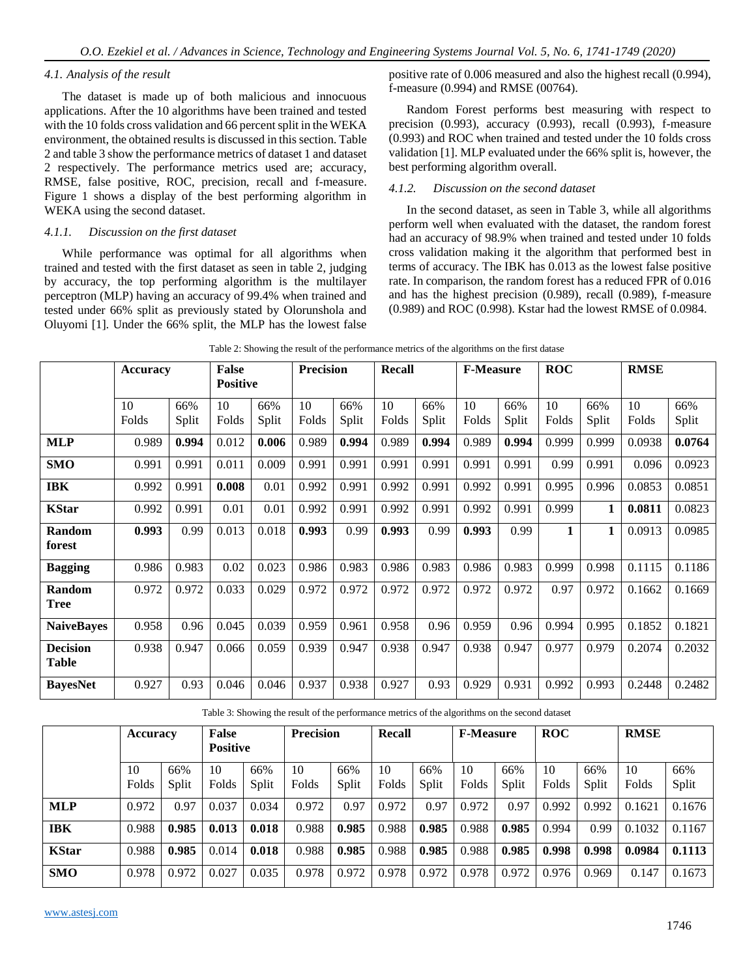## *4.1. Analysis of the result*

The dataset is made up of both malicious and innocuous applications. After the 10 algorithms have been trained and tested with the 10 folds cross validation and 66 percent split in the WEKA environment, the obtained results is discussed in this section. Table 2 and table 3 show the performance metrics of dataset 1 and dataset 2 respectively. The performance metrics used are; accuracy, RMSE, false positive, ROC, precision, recall and f-measure. Figure 1 shows a display of the best performing algorithm in WEKA using the second dataset.

#### *4.1.1. Discussion on the first dataset*

While performance was optimal for all algorithms when trained and tested with the first dataset as seen in table 2, judging by accuracy, the top performing algorithm is the multilayer perceptron (MLP) having an accuracy of 99.4% when trained and tested under 66% split as previously stated by Olorunshola and Oluyomi [1]. Under the 66% split, the MLP has the lowest false positive rate of 0.006 measured and also the highest recall (0.994), f-measure (0.994) and RMSE (00764).

Random Forest performs best measuring with respect to precision (0.993), accuracy (0.993), recall (0.993), f-measure (0.993) and ROC when trained and tested under the 10 folds cross validation [1]. MLP evaluated under the 66% split is, however, the best performing algorithm overall.

#### *4.1.2. Discussion on the second dataset*

In the second dataset, as seen in Table 3, while all algorithms perform well when evaluated with the dataset, the random forest had an accuracy of 98.9% when trained and tested under 10 folds cross validation making it the algorithm that performed best in terms of accuracy. The IBK has 0.013 as the lowest false positive rate. In comparison, the random forest has a reduced FPR of 0.016 and has the highest precision (0.989), recall (0.989), f-measure (0.989) and ROC (0.998). Kstar had the lowest RMSE of 0.0984.

|                   | <b>Accuracy</b> |       | False           |       |       | <b>Precision</b><br><b>Recall</b> |       | <b>F-Measure</b> |       | <b>ROC</b> |       | <b>RMSE</b> |        |        |
|-------------------|-----------------|-------|-----------------|-------|-------|-----------------------------------|-------|------------------|-------|------------|-------|-------------|--------|--------|
|                   |                 |       | <b>Positive</b> |       |       |                                   |       |                  |       |            |       |             |        |        |
|                   | 10              | 66%   | 10              | 66%   | 10    | 66%                               | 10    | 66%              | 10    | 66%        | 10    | 66%         | 10     | 66%    |
|                   | Folds           | Split | Folds           | Split | Folds | Split                             | Folds | Split            | Folds | Split      | Folds | Split       | Folds  | Split  |
| <b>MLP</b>        | 0.989           | 0.994 | 0.012           | 0.006 | 0.989 | 0.994                             | 0.989 | 0.994            | 0.989 | 0.994      | 0.999 | 0.999       | 0.0938 | 0.0764 |
| <b>SMO</b>        | 0.991           | 0.991 | 0.011           | 0.009 | 0.991 | 0.991                             | 0.991 | 0.991            | 0.991 | 0.991      | 0.99  | 0.991       | 0.096  | 0.0923 |
| <b>IBK</b>        | 0.992           | 0.991 | 0.008           | 0.01  | 0.992 | 0.991                             | 0.992 | 0.991            | 0.992 | 0.991      | 0.995 | 0.996       | 0.0853 | 0.0851 |
| <b>KStar</b>      | 0.992           | 0.991 | 0.01            | 0.01  | 0.992 | 0.991                             | 0.992 | 0.991            | 0.992 | 0.991      | 0.999 | 1           | 0.0811 | 0.0823 |
| Random<br>forest  | 0.993           | 0.99  | 0.013           | 0.018 | 0.993 | 0.99                              | 0.993 | 0.99             | 0.993 | 0.99       | 1     | 1           | 0.0913 | 0.0985 |
|                   |                 |       |                 |       |       |                                   |       |                  |       |            |       |             |        |        |
| <b>Bagging</b>    | 0.986           | 0.983 | 0.02            | 0.023 | 0.986 | 0.983                             | 0.986 | 0.983            | 0.986 | 0.983      | 0.999 | 0.998       | 0.1115 | 0.1186 |
| Random            | 0.972           | 0.972 | 0.033           | 0.029 | 0.972 | 0.972                             | 0.972 | 0.972            | 0.972 | 0.972      | 0.97  | 0.972       | 0.1662 | 0.1669 |
| <b>Tree</b>       |                 |       |                 |       |       |                                   |       |                  |       |            |       |             |        |        |
| <b>NaiveBayes</b> | 0.958           | 0.96  | 0.045           | 0.039 | 0.959 | 0.961                             | 0.958 | 0.96             | 0.959 | 0.96       | 0.994 | 0.995       | 0.1852 | 0.1821 |
| <b>Decision</b>   | 0.938           | 0.947 | 0.066           | 0.059 | 0.939 | 0.947                             | 0.938 | 0.947            | 0.938 | 0.947      | 0.977 | 0.979       | 0.2074 | 0.2032 |
| <b>Table</b>      |                 |       |                 |       |       |                                   |       |                  |       |            |       |             |        |        |
| <b>BayesNet</b>   | 0.927           | 0.93  | 0.046           | 0.046 | 0.937 | 0.938                             | 0.927 | 0.93             | 0.929 | 0.931      | 0.992 | 0.993       | 0.2448 | 0.2482 |

Table 2: Showing the result of the performance metrics of the algorithms on the first datase

Table 3: Showing the result of the performance metrics of the algorithms on the second dataset

|              | <b>Accuracy</b> |              | False<br><b>Positive</b> |              | <b>Precision</b> |              | Recall      |              | <b>F-Measure</b> |              | <b>ROC</b>  |              | <b>RMSE</b> |              |
|--------------|-----------------|--------------|--------------------------|--------------|------------------|--------------|-------------|--------------|------------------|--------------|-------------|--------------|-------------|--------------|
|              | 10<br>Folds     | 66%<br>Split | 10<br>Folds              | 66%<br>Split | 10<br>Folds      | 66%<br>Split | 10<br>Folds | 66%<br>Split | 10<br>Folds      | 66%<br>Split | 10<br>Folds | 66%<br>Split | 10<br>Folds | 66%<br>Split |
| <b>MLP</b>   | 0.972           | 0.97         | 0.037                    | 0.034        | 0.972            | 0.97         | 0.972       | 0.97         | 0.972            | 0.97         | 0.992       | 0.992        | 0.1621      | 0.1676       |
| <b>IBK</b>   | 0.988           | 0.985        | 0.013                    | 0.018        | 0.988            | 0.985        | 0.988       | 0.985        | 0.988            | 0.985        | 0.994       | 0.99         | 0.1032      | 0.1167       |
| <b>KStar</b> | 0.988           | 0.985        | 0.014                    | 0.018        | 0.988            | 0.985        | 0.988       | 0.985        | 0.988            | 0.985        | 0.998       | 0.998        | 0.0984      | 0.1113       |
| <b>SMO</b>   | 0.978           | 0.972        | 0.027                    | 0.035        | 0.978            | 0.972        | 0.978       | 0.972        | 0.978            | 0.972        | 0.976       | 0.969        | 0.147       | 0.1673       |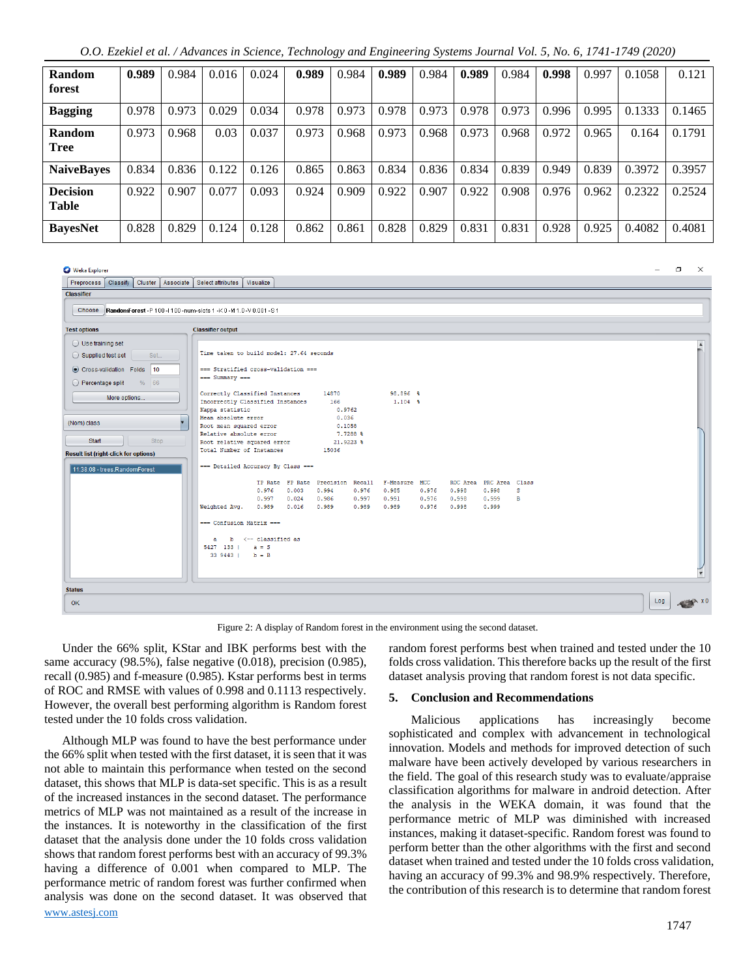|  | O.O. Ezekiel et al. / Advances in Science, Technology and Engineering Systems Journal Vol. 5, No. 6, 1741-1749 (2020) |  |  |  |
|--|-----------------------------------------------------------------------------------------------------------------------|--|--|--|
|  |                                                                                                                       |  |  |  |

| Random<br>forest                | 0.989 | 0.984 | 0.016 | 0.024 | 0.989 | 0.984 | 0.989 | 0.984 | 0.989 | 0.984 | 0.998 | 0.997 | 0.1058 | 0.121  |
|---------------------------------|-------|-------|-------|-------|-------|-------|-------|-------|-------|-------|-------|-------|--------|--------|
| <b>Bagging</b>                  | 0.978 | 0.973 | 0.029 | 0.034 | 0.978 | 0.973 | 0.978 | 0.973 | 0.978 | 0.973 | 0.996 | 0.995 | 0.1333 | 0.1465 |
| Random<br><b>Tree</b>           | 0.973 | 0.968 | 0.03  | 0.037 | 0.973 | 0.968 | 0.973 | 0.968 | 0.973 | 0.968 | 0.972 | 0.965 | 0.164  | 0.1791 |
| <b>NaiveBayes</b>               | 0.834 | 0.836 | 0.122 | 0.126 | 0.865 | 0.863 | 0.834 | 0.836 | 0.834 | 0.839 | 0.949 | 0.839 | 0.3972 | 0.3957 |
| <b>Decision</b><br><b>Table</b> | 0.922 | 0.907 | 0.077 | 0.093 | 0.924 | 0.909 | 0.922 | 0.907 | 0.922 | 0.908 | 0.976 | 0.962 | 0.2322 | 0.2524 |
| <b>BayesNet</b>                 | 0.828 | 0.829 | 0.124 | 0.128 | 0.862 | 0.861 | 0.828 | 0.829 | 0.831 | 0.831 | 0.928 | 0.925 | 0.4082 | 0.4081 |

**Ca** Weka Explorer

 $\Box$  $\times$ 

| Preprocess   Classify   Cluster   Associate   Select attributes                                                                                                                                                             | Visualize                                                                                                                                                                                                                                                                                                                                                                                                                                                                          |     |
|-----------------------------------------------------------------------------------------------------------------------------------------------------------------------------------------------------------------------------|------------------------------------------------------------------------------------------------------------------------------------------------------------------------------------------------------------------------------------------------------------------------------------------------------------------------------------------------------------------------------------------------------------------------------------------------------------------------------------|-----|
| <b>Classifier</b>                                                                                                                                                                                                           |                                                                                                                                                                                                                                                                                                                                                                                                                                                                                    |     |
| Choose RandomForest -P 100 -1100 -num-slots 1 -K 0 -M 1.0 -V 0.001 -S 1                                                                                                                                                     |                                                                                                                                                                                                                                                                                                                                                                                                                                                                                    |     |
| <b>Test options</b>                                                                                                                                                                                                         | <b>Classifier output</b>                                                                                                                                                                                                                                                                                                                                                                                                                                                           |     |
| $\bigcirc$ Use training set<br>Supplied test set<br>Set<br>Cross-validation Folds 10<br>% 66<br>$\bigcirc$ Percentage split<br>More options<br>(Nom) class<br>Stop<br>Start<br><b>Result list (right-click for options)</b> | Time taken to build model: 27.64 seconds<br>=== Stratified cross-validation ===<br>--- Summary ---<br>98.896 %<br>Correctly Classified Instances<br>14870<br>$1.104 -$<br>166<br>Incorrectly Classified Instances<br>0.9762<br>Kappa statistic<br>Mean absolute error<br>0.036<br>Root mean squared error<br>0.1058<br>Relative absolute error<br>7.7288 %<br>Root relative squared error<br>21.9223 %<br>Total Number of Instances<br>15036<br>=== Detailed Accuracy By Class === |     |
| 11:38:08 - trees.RandomForest                                                                                                                                                                                               | TP Rate FP Rate Precision Recall F-Measure MCC<br>ROC Area PRC Area Class<br>0.976<br>0.003<br>0.985<br>$0.976$ 0.998<br>0.998<br>s<br>0.994<br>0.976<br>0.986<br>0.997<br>0.991<br>0.976<br>0.999<br>B<br>0.997<br>0.024<br>0.998<br>0.989<br>0.989<br>0.9890.989<br>$0.976$ 0.998<br>0.999<br>Weighted Avg.<br>0.016<br>=== Confusion Matrix ===<br>$b \leftarrow$ classified as<br>$\mathbf{a}$<br>$5427$ 133   a = S<br>$339443$   b = B                                       |     |
| <b>Status</b><br>OK                                                                                                                                                                                                         |                                                                                                                                                                                                                                                                                                                                                                                                                                                                                    | Log |

Figure 2: A display of Random forest in the environment using the second dataset.

Under the 66% split, KStar and IBK performs best with the same accuracy (98.5%), false negative (0.018), precision (0.985), recall (0.985) and f-measure (0.985). Kstar performs best in terms of ROC and RMSE with values of 0.998 and 0.1113 respectively. However, the overall best performing algorithm is Random forest tested under the 10 folds cross validation.

[www.astesj.com](http://www.astesj.com/)  Although MLP was found to have the best performance under the 66% split when tested with the first dataset, it is seen that it was not able to maintain this performance when tested on the second dataset, this shows that MLP is data-set specific. This is as a result of the increased instances in the second dataset. The performance metrics of MLP was not maintained as a result of the increase in the instances. It is noteworthy in the classification of the first dataset that the analysis done under the 10 folds cross validation shows that random forest performs best with an accuracy of 99.3% having a difference of 0.001 when compared to MLP. The performance metric of random forest was further confirmed when analysis was done on the second dataset. It was observed that random forest performs best when trained and tested under the 10 folds cross validation. This therefore backs up the result of the first dataset analysis proving that random forest is not data specific.

#### **5. Conclusion and Recommendations**

Malicious applications has increasingly become sophisticated and complex with advancement in technological innovation. Models and methods for improved detection of such malware have been actively developed by various researchers in the field. The goal of this research study was to evaluate/appraise classification algorithms for malware in android detection. After the analysis in the WEKA domain, it was found that the performance metric of MLP was diminished with increased instances, making it dataset-specific. Random forest was found to perform better than the other algorithms with the first and second dataset when trained and tested under the 10 folds cross validation, having an accuracy of 99.3% and 98.9% respectively. Therefore, the contribution of this research is to determine that random forest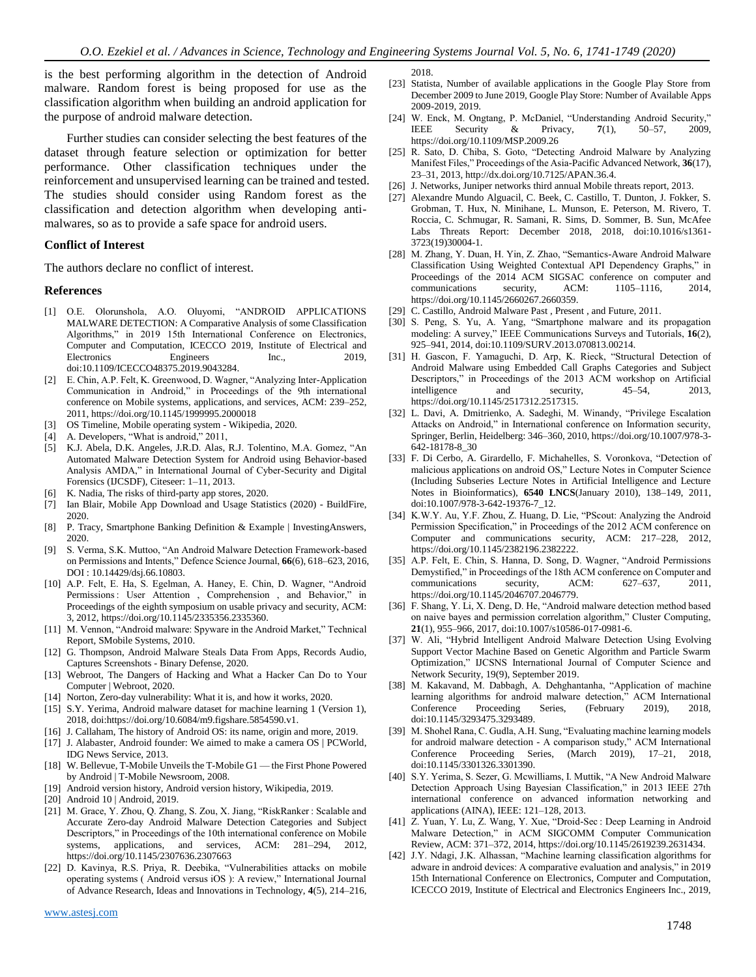is the best performing algorithm in the detection of Android malware. Random forest is being proposed for use as the classification algorithm when building an android application for the purpose of android malware detection.

Further studies can consider selecting the best features of the dataset through feature selection or optimization for better performance. Other classification techniques under the reinforcement and unsupervised learning can be trained and tested. The studies should consider using Random forest as the classification and detection algorithm when developing antimalwares, so as to provide a safe space for android users.

#### **Conflict of Interest**

The authors declare no conflict of interest.

#### **References**

- [1] O.E. Olorunshola, A.O. Oluyomi, "ANDROID APPLICATIONS MALWARE DETECTION: A Comparative Analysis of some Classification Algorithms," in 2019 15th International Conference on Electronics, Computer and Computation, ICECCO 2019, Institute of Electrical and Electronics Engineers Inc., 2019, doi:10.1109/ICECCO48375.2019.9043284.
- [2] E. Chin, A.P. Felt, K. Greenwood, D. Wagner, "Analyzing Inter-Application Communication in Android," in Proceedings of the 9th international conference on Mobile systems, applications, and services, ACM: 239–252, 2011, https://doi.org/10.1145/1999995.2000018
- [3] OS Timeline, Mobile operating system Wikipedia, 2020.
- [4] A. Developers, "What is android," 2011,
- [5] K.J. Abela, D.K. Angeles, J.R.D. Alas, R.J. Tolentino, M.A. Gomez, "An Automated Malware Detection System for Android using Behavior-based Analysis AMDA," in International Journal of Cyber-Security and Digital Forensics (IJCSDF), Citeseer: 1–11, 2013.
- K. Nadia, The risks of third-party app stores, 2020.
- [7] Ian Blair, Mobile App Download and Usage Statistics (2020) BuildFire, 2020.
- [8] P. Tracy, Smartphone Banking Definition & Example | InvestingAnswers, 2020.
- [9] S. Verma, S.K. Muttoo, "An Android Malware Detection Framework-based on Permissions and Intents," Defence Science Journal, **66**(6), 618–623, 2016, DOI : 10.14429/dsj.66.10803.
- [10] A.P. Felt, E. Ha, S. Egelman, A. Haney, E. Chin, D. Wagner, "Android Permissions : User Attention , Comprehension , and Behavior," in Proceedings of the eighth symposium on usable privacy and security, ACM: 3, 2012, https://doi.org/10.1145/2335356.2335360.
- [11] M. Vennon, "Android malware: Spyware in the Android Market," Technical Report, SMobile Systems, 2010.
- [12] G. Thompson, Android Malware Steals Data From Apps, Records Audio, Captures Screenshots - Binary Defense, 2020.
- [13] Webroot, The Dangers of Hacking and What a Hacker Can Do to Your Computer | Webroot, 2020.
- [14] Norton, Zero-day vulnerability: What it is, and how it works, 2020.
- [15] S.Y. Yerima, Android malware dataset for machine learning 1 (Version 1), 2018, doi:https://doi.org/10.6084/m9.figshare.5854590.v1.
- [16] J. Callaham, The history of Android OS: its name, origin and more, 2019.
- [17] J. Alabaster, Android founder: We aimed to make a camera OS | PCWorld, IDG News Service, 2013.
- [18] W. Bellevue, T-Mobile Unveils the T-Mobile G1 the First Phone Powered by Android | T-Mobile Newsroom, 2008.
- [19] Android version history, Android version history, Wikipedia, 2019.
- [20] Android 10 | Android, 2019.
- [21] M. Grace, Y. Zhou, Q. Zhang, S. Zou, X. Jiang, "RiskRanker: Scalable and Accurate Zero-day Android Malware Detection Categories and Subject Descriptors," in Proceedings of the 10th international conference on Mobile systems, applications, and services, ACM: 281–294, 2012, https://doi.org/10.1145/2307636.2307663
- [22] D. Kavinya, R.S. Priya, R. Deebika, "Vulnerabilities attacks on mobile operating systems ( Android versus iOS ): A review," International Journal of Advance Research, Ideas and Innovations in Technology, **4**(5), 214–216,

2018.

- [23] Statista, Number of available applications in the Google Play Store from December 2009 to June 2019, Google Play Store: Number of Available Apps 2009-2019, 2019.
- [24] W. Enck, M. Ongtang, P. McDaniel, "Understanding Android Security," IEEE Security & Privacy, **7**(1), 50–57, 2009, https://doi.org/10.1109/MSP.2009.26
- [25] R. Sato, D. Chiba, S. Goto, "Detecting Android Malware by Analyzing Manifest Files," Proceedings of the Asia-Pacific Advanced Network, **36**(17), 23–31, 2013, http://dx.doi.org/10.7125/APAN.36.4.
- [26] J. Networks, Juniper networks third annual Mobile threats report, 2013.
- [27] Alexandre Mundo Alguacil, C. Beek, C. Castillo, T. Dunton, J. Fokker, S. Grobman, T. Hux, N. Minihane, L. Munson, E. Peterson, M. Rivero, T. Roccia, C. Schmugar, R. Samani, R. Sims, D. Sommer, B. Sun, McAfee Labs Threats Report: December 2018, 2018, doi:10.1016/s1361- 3723(19)30004-1.
- [28] M. Zhang, Y. Duan, H. Yin, Z. Zhao, "Semantics-Aware Android Malware Classification Using Weighted Contextual API Dependency Graphs," in Proceedings of the 2014 ACM SIGSAC conference on computer and communications security, ACM: 1105–1116, 2014, https://doi.org/10.1145/2660267.2660359.
- [29] C. Castillo, Android Malware Past , Present , and Future, 2011.
- [30] S. Peng, S. Yu, A. Yang, "Smartphone malware and its propagation modeling: A survey," IEEE Communications Surveys and Tutorials, **16**(2), 925–941, 2014, doi:10.1109/SURV.2013.070813.00214.
- [31] H. Gascon, F. Yamaguchi, D. Arp, K. Rieck, "Structural Detection of Android Malware using Embedded Call Graphs Categories and Subject Descriptors," in Proceedings of the 2013 ACM workshop on Artificial intelligence and security, 45–54, 2013, https://doi.org/10.1145/2517312.2517315.
- [32] L. Davi, A. Dmitrienko, A. Sadeghi, M. Winandy, "Privilege Escalation Attacks on Android," in International conference on Information security, Springer, Berlin, Heidelberg: 346–360, 2010, https://doi.org/10.1007/978-3- 642-18178-8\_30
- [33] F. Di Cerbo, A. Girardello, F. Michahelles, S. Voronkova, "Detection of malicious applications on android OS," Lecture Notes in Computer Science (Including Subseries Lecture Notes in Artificial Intelligence and Lecture Notes in Bioinformatics), **6540 LNCS**(January 2010), 138–149, 2011, doi:10.1007/978-3-642-19376-7\_12.
- [34] K.W.Y. Au, Y.F. Zhou, Z. Huang, D. Lie, "PScout: Analyzing the Android Permission Specification," in Proceedings of the 2012 ACM conference on Computer and communications security, ACM: 217–228, 2012, https://doi.org/10.1145/2382196.2382222.
- [35] A.P. Felt, E. Chin, S. Hanna, D. Song, D. Wagner, "Android Permissions Demystified," in Proceedings of the 18th ACM conference on Computer and communications security, ACM: 627–637, 2011, https://doi.org/10.1145/2046707.2046779.
- [36] F. Shang, Y. Li, X. Deng, D. He, "Android malware detection method based on naive bayes and permission correlation algorithm," Cluster Computing, **21**(1), 955–966, 2017, doi:10.1007/s10586-017-0981-6.
- [37] W. Ali, "Hybrid Intelligent Android Malware Detection Using Evolving Support Vector Machine Based on Genetic Algorithm and Particle Swarm Optimization," IJCSNS International Journal of Computer Science and Network Security, 19(9), September 2019.
- [38] M. Kakavand, M. Dabbagh, A. Dehghantanha, "Application of machine learning algorithms for android malware detection," ACM International Conference Proceeding Series, (February 2019), 2018, doi:10.1145/3293475.3293489.
- [39] M. Shohel Rana, C. Gudla, A.H. Sung, "Evaluating machine learning models for android malware detection - A comparison study," ACM International Conference Proceeding Series, (March 2019), 17–21, 2018, doi:10.1145/3301326.3301390.
- [40] S.Y. Yerima, S. Sezer, G. Mcwilliams, I. Muttik, "A New Android Malware Detection Approach Using Bayesian Classification," in 2013 IEEE 27th international conference on advanced information networking and applications (AINA), IEEE: 121–128, 2013.
- [41] Z. Yuan, Y. Lu, Z. Wang, Y. Xue, "Droid-Sec : Deep Learning in Android Malware Detection," in ACM SIGCOMM Computer Communication Review, ACM: 371–372, 2014, https://doi.org/10.1145/2619239.2631434.
- [42] J.Y. Ndagi, J.K. Alhassan, "Machine learning classification algorithms for adware in android devices: A comparative evaluation and analysis," in 2019 15th International Conference on Electronics, Computer and Computation, ICECCO 2019, Institute of Electrical and Electronics Engineers Inc., 2019,